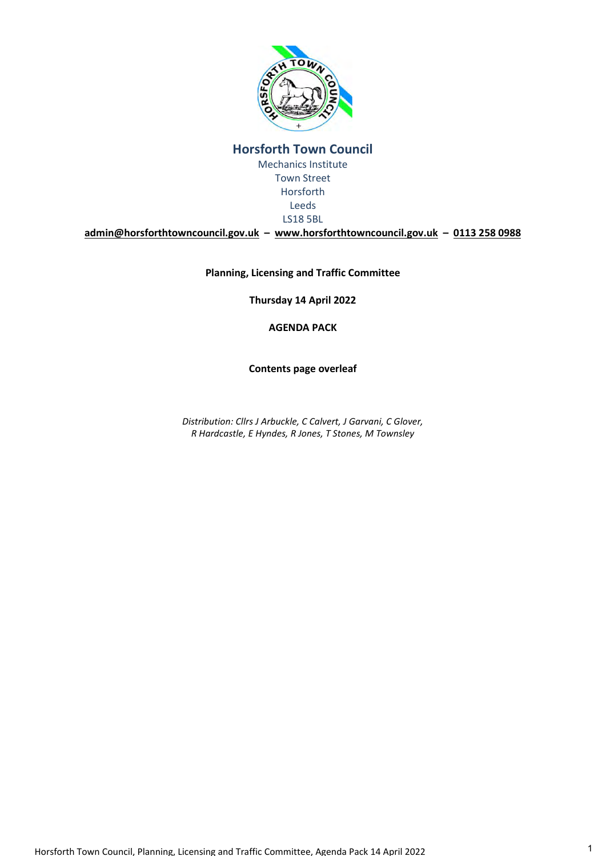

#### **Horsforth Town Council** Mechanics Institute

Town Street Horsforth Leeds LS18 5BL

**admin@horsforthtowncouncil.gov.uk – www.horsforthtowncouncil.gov.uk – 0113 258 0988**

#### **Planning, Licensing and Traffic Committee**

**Thursday 14 April 2022** 

#### **AGENDA PACK**

**Contents page overleaf** 

*Distribution: Cllrs J Arbuckle, C Calvert, J Garvani, C Glover, R Hardcastle, E Hyndes, R Jones, T Stones, M Townsley*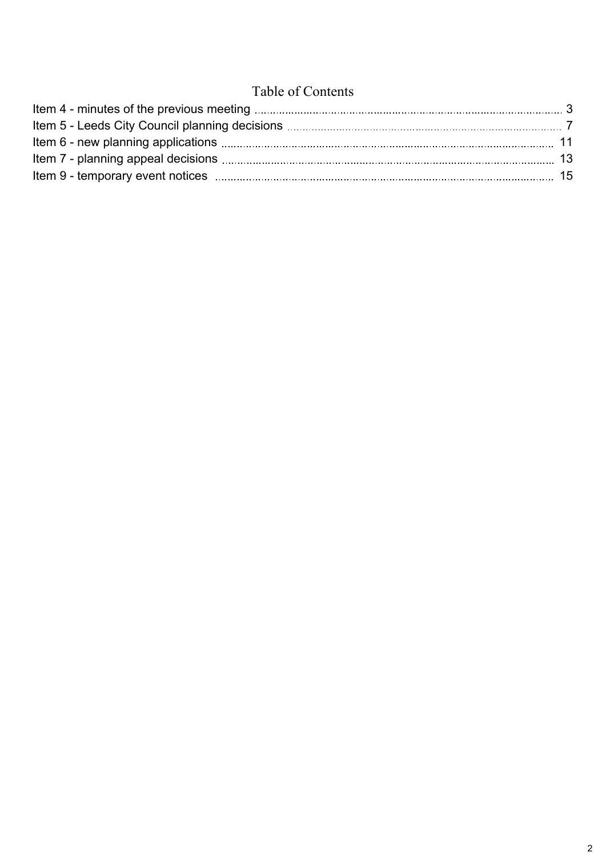# Table of Contents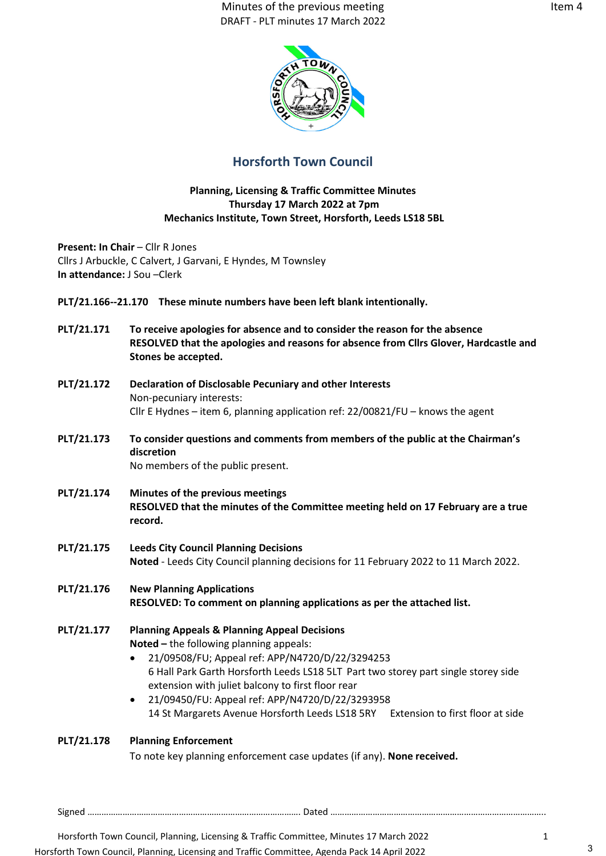

# **Horsforth Town Council**

#### **Planning, Licensing & Traffic Committee Minutes Thursday 17 March 2022 at 7pm Mechanics Institute, Town Street, Horsforth, Leeds LS18 5BL**

<span id="page-2-0"></span>**Present: In Chair - Cllr R Jones** Cllrs J Arbuckle, C Calvert, J Garvani, E Hyndes, M Townsley **In attendance:** J Sou –Clerk

- **PLT/21.166--21.170 These minute numbers have been left blank intentionally.**
- **PLT/21.171 To receive apologies for absence and to consider the reason for the absence RESOLVED that the apologies and reasons for absence from Cllrs Glover, Hardcastle and Stones be accepted.**
- **PLT/21.172 Declaration of Disclosable Pecuniary and other Interests** Non-pecuniary interests: Cllr E Hydnes – item 6, planning application ref: 22/00821/FU – knows the agent
- **PLT/21.173 To consider questions and comments from members of the public at the Chairman's discretion**  No members of the public present.
- **PLT/21.174 Minutes of the previous meetings RESOLVED that the minutes of the Committee meeting held on 17 February are a true record.**
- **PLT/21.175 Leeds City Council Planning Decisions Noted** - Leeds City Council planning decisions for 11 February 2022 to 11 March 2022.
- **PLT/21.176 New Planning Applications RESOLVED: To comment on planning applications as per the attached list.**
- **PLT/21.177 Planning Appeals & Planning Appeal Decisions Noted –** the following planning appeals:
	- 21/09508/FU; Appeal ref: APP/N4720/D/22/3294253 6 Hall Park Garth Horsforth Leeds LS18 5LT Part two storey part single storey side extension with juliet balcony to first floor rear
	- 21/09450/FU: Appeal ref: APP/N4720/D/22/3293958 14 St Margarets Avenue Horsforth Leeds LS18 5RY Extension to first floor at side

### **PLT/21.178 Planning Enforcement**

To note key planning enforcement case updates (if any). **None received.** 

Signed ………………………………………………………………………………. Dated ………………………………………………………………………………..

Horsforth Town Council, Planning, Licensing & Traffic Committee, Minutes 17 March 2022 1 Horsforth Town Council, Planning, Licensing and Traffic Committee, Agenda Pack 14 April 2022 3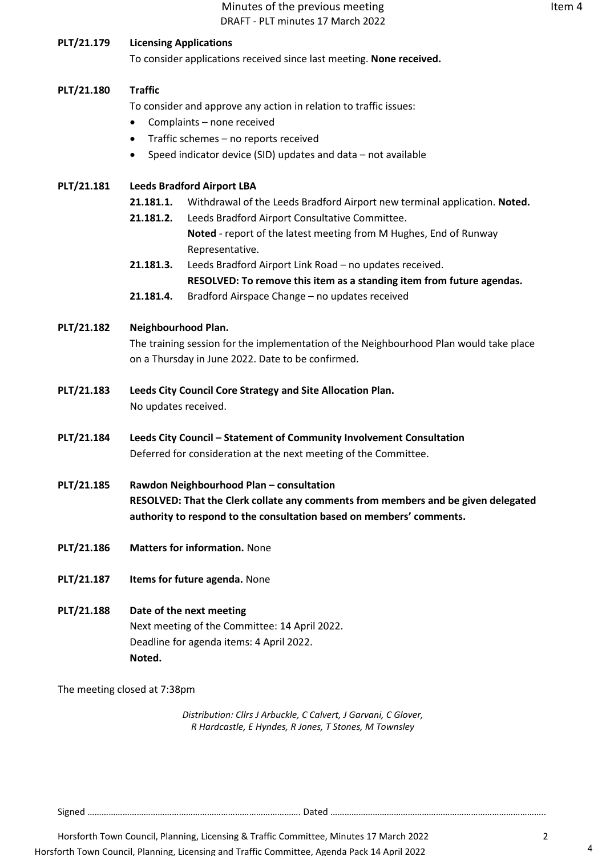DRAFT - PLT minutes 17 March 2022 Minutes of the previous meeting Item 4

#### **PLT/21.179 Licensing Applications**

To consider applications received since last meeting. **None received.** 

#### **PLT/21.180 Traffic**

To consider and approve any action in relation to traffic issues:

- Complaints none received
- Traffic schemes no reports received
- Speed indicator device (SID) updates and data not available

#### **PLT/21.181 Leeds Bradford Airport LBA**

- **21.181.1.** Withdrawal of the Leeds Bradford Airport new terminal application. **Noted.**
- **21.181.2.** Leeds Bradford Airport Consultative Committee. **Noted** - report of the latest meeting from M Hughes, End of Runway Representative.
- **21.181.3.** Leeds Bradford Airport Link Road no updates received.
	- **RESOLVED: To remove this item as a standing item from future agendas.**
- **21.181.4.** Bradford Airspace Change no updates received

#### **PLT/21.182 Neighbourhood Plan.**

The training session for the implementation of the Neighbourhood Plan would take place on a Thursday in June 2022. Date to be confirmed.

- **PLT/21.183 Leeds City Council Core Strategy and Site Allocation Plan.**  No updates received.
- **PLT/21.184 Leeds City Council Statement of Community Involvement Consultation**  Deferred for consideration at the next meeting of the Committee.
- **PLT/21.185 Rawdon Neighbourhood Plan consultation RESOLVED: That the Clerk collate any comments from members and be given delegated authority to respond to the consultation based on members' comments.**
- **PLT/21.186 Matters for information.** None
- **PLT/21.187 Items for future agenda.** None
- **PLT/21.188 Date of the next meeting**  Next meeting of the Committee: 14 April 2022. Deadline for agenda items: 4 April 2022. **Noted.**

The meeting closed at 7:38pm

*Distribution: Cllrs J Arbuckle, C Calvert, J Garvani, C Glover, R Hardcastle, E Hyndes, R Jones, T Stones, M Townsley* 

Signed ………………………………………………………………………………. Dated ………………………………………………………………………………..

Horsforth Town Council, Planning, Licensing & Traffic Committee, Minutes 17 March 2022 2 Horsforth Town Council, Planning, Licensing and Traffic Committee, Agenda Pack 14 April 2022 4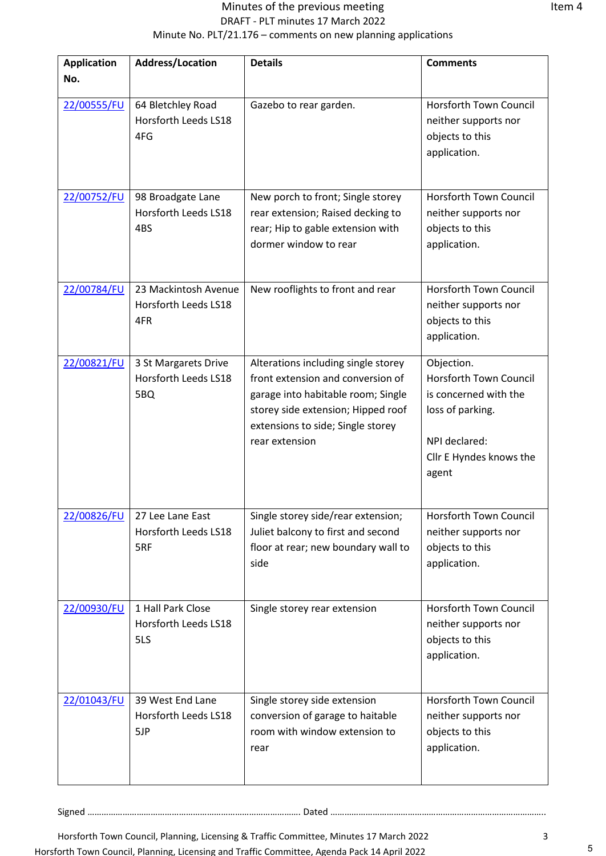## DRAFT - PLT minutes 17 March 2022 Minute No. PLT/21.176 – comments on new planning applications Minutes of the previous meeting Item 4

| <b>Application</b> | Address/Location                                           | <b>Details</b>                                                                                                                                                                                              | <b>Comments</b>                                                                                                                        |
|--------------------|------------------------------------------------------------|-------------------------------------------------------------------------------------------------------------------------------------------------------------------------------------------------------------|----------------------------------------------------------------------------------------------------------------------------------------|
| No.                |                                                            |                                                                                                                                                                                                             |                                                                                                                                        |
| 22/00555/FU        | 64 Bletchley Road<br>Horsforth Leeds LS18<br>4FG           | Gazebo to rear garden.                                                                                                                                                                                      | <b>Horsforth Town Council</b><br>neither supports nor<br>objects to this<br>application.                                               |
| 22/00752/FU        | 98 Broadgate Lane<br>Horsforth Leeds LS18<br>4BS           | New porch to front; Single storey<br>rear extension; Raised decking to<br>rear; Hip to gable extension with<br>dormer window to rear                                                                        | Horsforth Town Council<br>neither supports nor<br>objects to this<br>application.                                                      |
| 22/00784/FU        | 23 Mackintosh Avenue<br><b>Horsforth Leeds LS18</b><br>4FR | New rooflights to front and rear                                                                                                                                                                            | <b>Horsforth Town Council</b><br>neither supports nor<br>objects to this<br>application.                                               |
| 22/00821/FU        | 3 St Margarets Drive<br>Horsforth Leeds LS18<br>5BQ        | Alterations including single storey<br>front extension and conversion of<br>garage into habitable room; Single<br>storey side extension; Hipped roof<br>extensions to side; Single storey<br>rear extension | Objection.<br>Horsforth Town Council<br>is concerned with the<br>loss of parking.<br>NPI declared:<br>Cllr E Hyndes knows the<br>agent |
| 22/00826/FU        | 27 Lee Lane East<br>Horsforth Leeds LS18<br>5RF            | Single storey side/rear extension;<br>Juliet balcony to first and second<br>floor at rear; new boundary wall to<br>side                                                                                     | Horsforth Town Council<br>neither supports nor<br>objects to this<br>application.                                                      |
| 22/00930/FU        | 1 Hall Park Close<br>Horsforth Leeds LS18<br>5LS           | Single storey rear extension                                                                                                                                                                                | Horsforth Town Council<br>neither supports nor<br>objects to this<br>application.                                                      |
| 22/01043/FU        | 39 West End Lane<br>Horsforth Leeds LS18<br>5JP            | Single storey side extension<br>conversion of garage to haitable<br>room with window extension to<br>rear                                                                                                   | Horsforth Town Council<br>neither supports nor<br>objects to this<br>application.                                                      |

Signed ………………………………………………………………………………. Dated ………………………………………………………………………………..

Horsforth Town Council, Planning, Licensing & Traffic Committee, Minutes 17 March 2022 3 Horsforth Town Council, Planning, Licensing and Traffic Committee, Agenda Pack 14 April 2022 5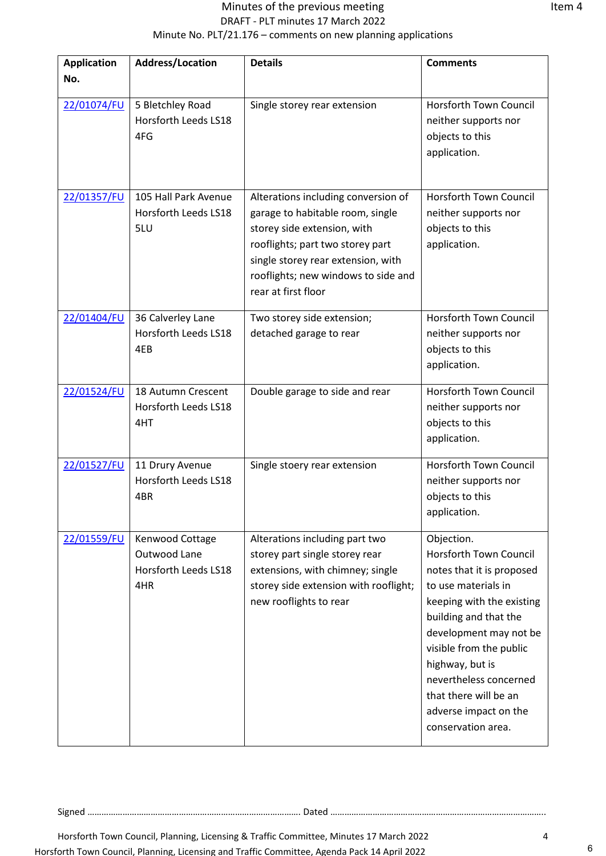## DRAFT - PLT minutes 17 March 2022 Minute No. PLT/21.176 – comments on new planning applications Minutes of the previous meeting Item 4

| <b>Application</b><br>No. | <b>Address/Location</b>                                        | <b>Details</b>                                                                                                                                                                                                                                 | <b>Comments</b>                                                                                                                                                                                                                                                                                                          |
|---------------------------|----------------------------------------------------------------|------------------------------------------------------------------------------------------------------------------------------------------------------------------------------------------------------------------------------------------------|--------------------------------------------------------------------------------------------------------------------------------------------------------------------------------------------------------------------------------------------------------------------------------------------------------------------------|
| 22/01074/FU               | 5 Bletchley Road<br>Horsforth Leeds LS18<br>4FG                | Single storey rear extension                                                                                                                                                                                                                   | Horsforth Town Council<br>neither supports nor<br>objects to this<br>application.                                                                                                                                                                                                                                        |
| 22/01357/FU               | 105 Hall Park Avenue<br>Horsforth Leeds LS18<br>5LU            | Alterations including conversion of<br>garage to habitable room, single<br>storey side extension, with<br>rooflights; part two storey part<br>single storey rear extension, with<br>rooflights; new windows to side and<br>rear at first floor | Horsforth Town Council<br>neither supports nor<br>objects to this<br>application.                                                                                                                                                                                                                                        |
| 22/01404/FU               | 36 Calverley Lane<br>Horsforth Leeds LS18<br>4EB               | Two storey side extension;<br>detached garage to rear                                                                                                                                                                                          | Horsforth Town Council<br>neither supports nor<br>objects to this<br>application.                                                                                                                                                                                                                                        |
| 22/01524/FU               | 18 Autumn Crescent<br>Horsforth Leeds LS18<br>4HT              | Double garage to side and rear                                                                                                                                                                                                                 | Horsforth Town Council<br>neither supports nor<br>objects to this<br>application.                                                                                                                                                                                                                                        |
| 22/01527/FU               | 11 Drury Avenue<br><b>Horsforth Leeds LS18</b><br>4BR          | Single stoery rear extension                                                                                                                                                                                                                   | <b>Horsforth Town Council</b><br>neither supports nor<br>objects to this<br>application.                                                                                                                                                                                                                                 |
| 22/01559/FU               | Kenwood Cottage<br>Outwood Lane<br>Horsforth Leeds LS18<br>4HR | Alterations including part two<br>storey part single storey rear<br>extensions, with chimney; single<br>storey side extension with rooflight;<br>new rooflights to rear                                                                        | Objection.<br>Horsforth Town Council<br>notes that it is proposed<br>to use materials in<br>keeping with the existing<br>building and that the<br>development may not be<br>visible from the public<br>highway, but is<br>nevertheless concerned<br>that there will be an<br>adverse impact on the<br>conservation area. |

Signed ………………………………………………………………………………. Dated ………………………………………………………………………………..

Horsforth Town Council, Planning, Licensing & Traffic Committee, Minutes 17 March 2022 4 Horsforth Town Council, Planning, Licensing and Traffic Committee, Agenda Pack 14 April 2022 6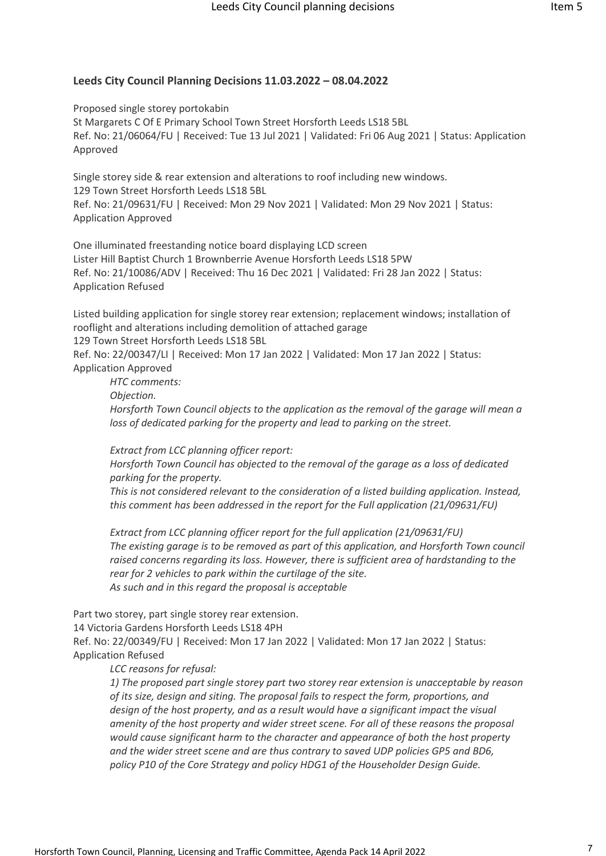# <span id="page-6-0"></span>**Leeds City Council Planning Decisions 11.03.2022 – 08.04.2022**

Proposed single storey portokabin

St Margarets C Of E Primary School Town Street Horsforth Leeds LS18 5BL Ref. No: 21/06064/FU | Received: Tue 13 Jul 2021 | Validated: Fri 06 Aug 2021 | Status: Application Approved

Single storey side & rear extension and alterations to roof including new windows. 129 Town Street Horsforth Leeds LS18 5BL Ref. No: 21/09631/FU | Received: Mon 29 Nov 2021 | Validated: Mon 29 Nov 2021 | Status: Application Approved

One illuminated freestanding notice board displaying LCD screen Lister Hill Baptist Church 1 Brownberrie Avenue Horsforth Leeds LS18 5PW Ref. No: 21/10086/ADV | Received: Thu 16 Dec 2021 | Validated: Fri 28 Jan 2022 | Status: Application Refused

Listed building application for single storey rear extension; replacement windows; installation of rooflight and alterations including demolition of attached garage 129 Town Street Horsforth Leeds LS18 5BL

Ref. No: 22/00347/LI | Received: Mon 17 Jan 2022 | Validated: Mon 17 Jan 2022 | Status: Application Approved

*HTC comments:* 

*Objection.* 

*Horsforth Town Council objects to the application as the removal of the garage will mean a loss of dedicated parking for the property and lead to parking on the street.* 

*Extract from LCC planning officer report:* 

*Horsforth Town Council has objected to the removal of the garage as a loss of dedicated parking for the property.* 

*This is not considered relevant to the consideration of a listed building application. Instead, this comment has been addressed in the report for the Full application (21/09631/FU)* 

*Extract from LCC planning officer report for the full application (21/09631/FU) The existing garage is to be removed as part of this application, and Horsforth Town council raised concerns regarding its loss. However, there is sufficient area of hardstanding to the rear for 2 vehicles to park within the curtilage of the site. As such and in this regard the proposal is acceptable* 

Part two storey, part single storey rear extension.

14 Victoria Gardens Horsforth Leeds LS18 4PH

Ref. No: 22/00349/FU | Received: Mon 17 Jan 2022 | Validated: Mon 17 Jan 2022 | Status: Application Refused

*LCC reasons for refusal:* 

*1) The proposed part single storey part two storey rear extension is unacceptable by reason of its size, design and siting. The proposal fails to respect the form, proportions, and design of the host property, and as a result would have a significant impact the visual amenity of the host property and wider street scene. For all of these reasons the proposal would cause significant harm to the character and appearance of both the host property and the wider street scene and are thus contrary to saved UDP policies GP5 and BD6, policy P10 of the Core Strategy and policy HDG1 of the Householder Design Guide.*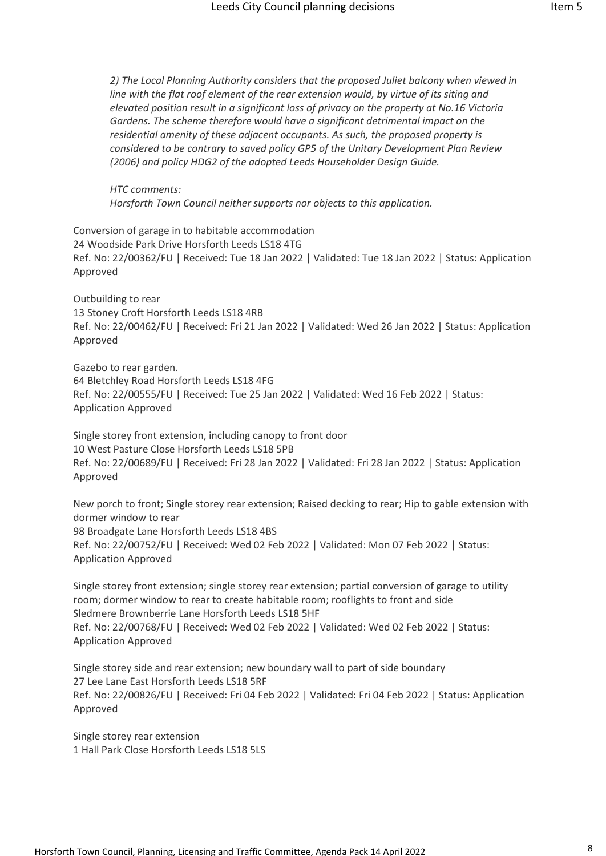*2) The Local Planning Authority considers that the proposed Juliet balcony when viewed in line with the flat roof element of the rear extension would, by virtue of its siting and elevated position result in a significant loss of privacy on the property at No.16 Victoria Gardens. The scheme therefore would have a significant detrimental impact on the residential amenity of these adjacent occupants. As such, the proposed property is considered to be contrary to saved policy GP5 of the Unitary Development Plan Review (2006) and policy HDG2 of the adopted Leeds Householder Design Guide.* 

*HTC comments: Horsforth Town Council neither supports nor objects to this application.* 

Conversion of garage in to habitable accommodation 24 Woodside Park Drive Horsforth Leeds LS18 4TG Ref. No: 22/00362/FU | Received: Tue 18 Jan 2022 | Validated: Tue 18 Jan 2022 | Status: Application Approved

Outbuilding to rear 13 Stoney Croft Horsforth Leeds LS18 4RB Ref. No: 22/00462/FU | Received: Fri 21 Jan 2022 | Validated: Wed 26 Jan 2022 | Status: Application Approved

Gazebo to rear garden. 64 Bletchley Road Horsforth Leeds LS18 4FG Ref. No: 22/00555/FU | Received: Tue 25 Jan 2022 | Validated: Wed 16 Feb 2022 | Status: Application Approved

Single storey front extension, including canopy to front door 10 West Pasture Close Horsforth Leeds LS18 5PB Ref. No: 22/00689/FU | Received: Fri 28 Jan 2022 | Validated: Fri 28 Jan 2022 | Status: Application Approved

New porch to front; Single storey rear extension; Raised decking to rear; Hip to gable extension with dormer window to rear 98 Broadgate Lane Horsforth Leeds LS18 4BS Ref. No: 22/00752/FU | Received: Wed 02 Feb 2022 | Validated: Mon 07 Feb 2022 | Status: Application Approved

Single storey front extension; single storey rear extension; partial conversion of garage to utility room; dormer window to rear to create habitable room; rooflights to front and side Sledmere Brownberrie Lane Horsforth Leeds LS18 5HF Ref. No: 22/00768/FU | Received: Wed 02 Feb 2022 | Validated: Wed 02 Feb 2022 | Status: Application Approved

Single storey side and rear extension; new boundary wall to part of side boundary 27 Lee Lane East Horsforth Leeds LS18 5RF Ref. No: 22/00826/FU | Received: Fri 04 Feb 2022 | Validated: Fri 04 Feb 2022 | Status: Application Approved

Single storey rear extension 1 Hall Park Close Horsforth Leeds LS18 5LS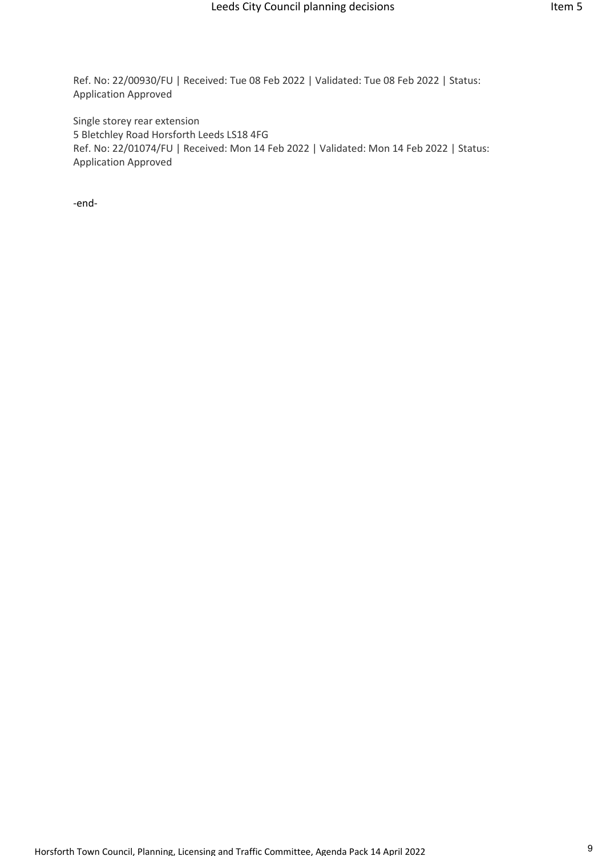Ref. No: 22/00930/FU | Received: Tue 08 Feb 2022 | Validated: Tue 08 Feb 2022 | Status: Application Approved

Single storey rear extension 5 Bletchley Road Horsforth Leeds LS18 4FG Ref. No: 22/01074/FU | Received: Mon 14 Feb 2022 | Validated: Mon 14 Feb 2022 | Status: Application Approved

-end-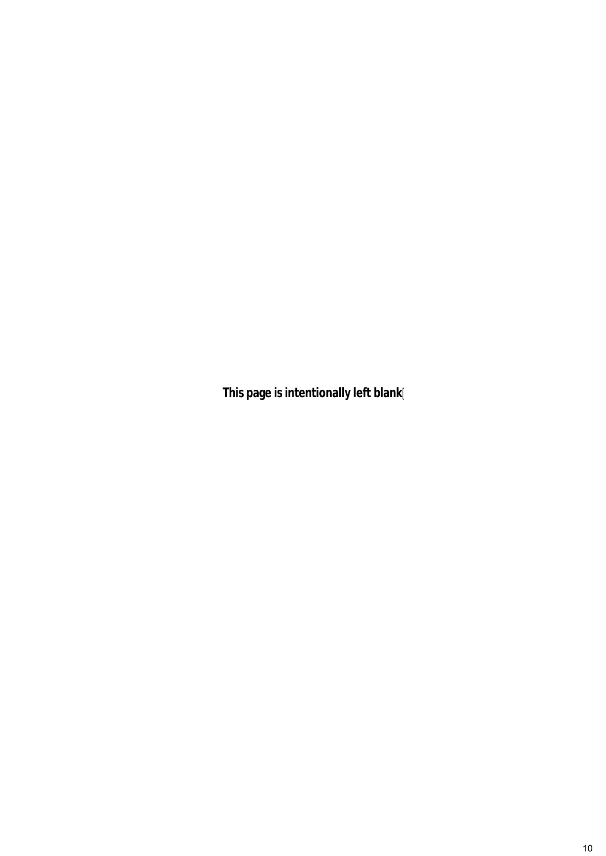**This page is intentionally left blank**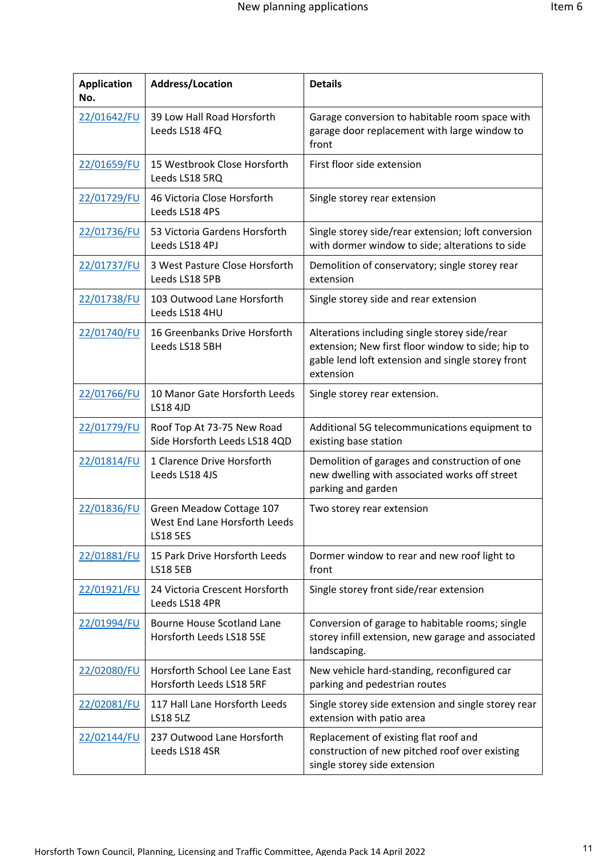| c |  |
|---|--|
|---|--|

<span id="page-10-0"></span>

| <b>Application</b><br>No. | <b>Address/Location</b>                                                      | <b>Details</b>                                                                                                                                                       |
|---------------------------|------------------------------------------------------------------------------|----------------------------------------------------------------------------------------------------------------------------------------------------------------------|
| 22/01642/FU               | 39 Low Hall Road Horsforth<br>Leeds LS18 4FQ                                 | Garage conversion to habitable room space with<br>garage door replacement with large window to<br>front                                                              |
| 22/01659/FU               | 15 Westbrook Close Horsforth<br>Leeds LS18 5RQ                               | First floor side extension                                                                                                                                           |
| 22/01729/FU               | 46 Victoria Close Horsforth<br>Leeds LS18 4PS                                | Single storey rear extension                                                                                                                                         |
| 22/01736/FU               | 53 Victoria Gardens Horsforth<br>Leeds LS18 4PJ                              | Single storey side/rear extension; loft conversion<br>with dormer window to side; alterations to side                                                                |
| 22/01737/FU               | 3 West Pasture Close Horsforth<br>Leeds LS18 5PB                             | Demolition of conservatory; single storey rear<br>extension                                                                                                          |
| 22/01738/FU               | 103 Outwood Lane Horsforth<br>Leeds LS18 4HU                                 | Single storey side and rear extension                                                                                                                                |
| 22/01740/FU               | 16 Greenbanks Drive Horsforth<br>Leeds LS18 5BH                              | Alterations including single storey side/rear<br>extension; New first floor window to side; hip to<br>gable lend loft extension and single storey front<br>extension |
| 22/01766/FU               | 10 Manor Gate Horsforth Leeds<br><b>LS18 4JD</b>                             | Single storey rear extension.                                                                                                                                        |
| 22/01779/FU               | Roof Top At 73-75 New Road<br>Side Horsforth Leeds LS18 4QD                  | Additional 5G telecommunications equipment to<br>existing base station                                                                                               |
| 22/01814/FU               | 1 Clarence Drive Horsforth<br>Leeds LS18 4JS                                 | Demolition of garages and construction of one<br>new dwelling with associated works off street<br>parking and garden                                                 |
| 22/01836/FU               | Green Meadow Cottage 107<br>West End Lane Horsforth Leeds<br><b>LS18 5ES</b> | Two storey rear extension                                                                                                                                            |
| 22/01881/FU               | 15 Park Drive Horsforth Leeds<br><b>LS18 5EB</b>                             | Dormer window to rear and new roof light to<br>front                                                                                                                 |
| 22/01921/FU               | 24 Victoria Crescent Horsforth<br>Leeds LS18 4PR                             | Single storey front side/rear extension                                                                                                                              |
| 22/01994/FU               | Bourne House Scotland Lane<br>Horsforth Leeds LS18 5SE                       | Conversion of garage to habitable rooms; single<br>storey infill extension, new garage and associated<br>landscaping.                                                |
| 22/02080/FU               | Horsforth School Lee Lane East<br>Horsforth Leeds LS18 5RF                   | New vehicle hard-standing, reconfigured car<br>parking and pedestrian routes                                                                                         |
| 22/02081/FU               | 117 Hall Lane Horsforth Leeds<br><b>LS18 5LZ</b>                             | Single storey side extension and single storey rear<br>extension with patio area                                                                                     |
| 22/02144/FU               | 237 Outwood Lane Horsforth<br>Leeds LS18 4SR                                 | Replacement of existing flat roof and<br>construction of new pitched roof over existing<br>single storey side extension                                              |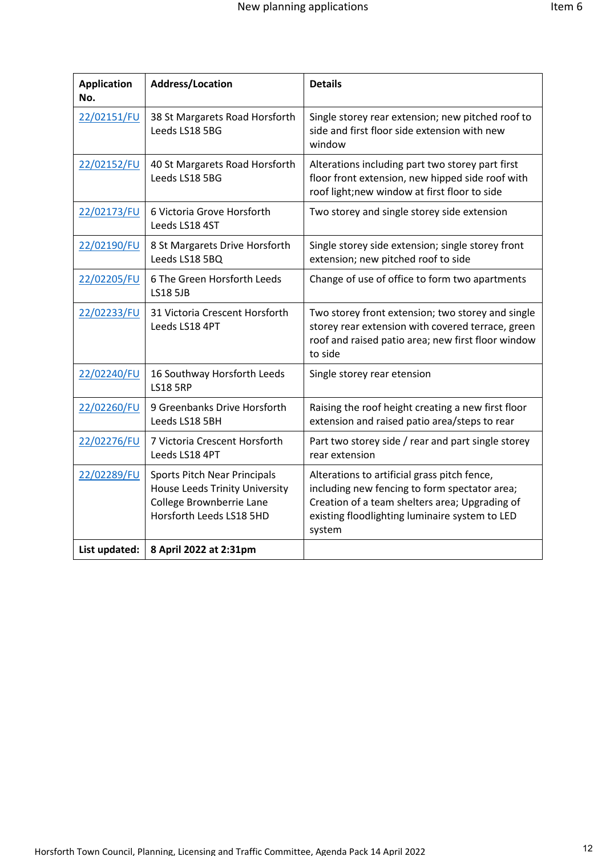| <b>Application</b><br>No. | <b>Address/Location</b>                                                                                                       | <b>Details</b>                                                                                                                                                                                              |
|---------------------------|-------------------------------------------------------------------------------------------------------------------------------|-------------------------------------------------------------------------------------------------------------------------------------------------------------------------------------------------------------|
| 22/02151/FU               | 38 St Margarets Road Horsforth<br>Leeds LS18 5BG                                                                              | Single storey rear extension; new pitched roof to<br>side and first floor side extension with new<br>window                                                                                                 |
| 22/02152/FU               | 40 St Margarets Road Horsforth<br>Leeds LS18 5BG                                                                              | Alterations including part two storey part first<br>floor front extension, new hipped side roof with<br>roof light;new window at first floor to side                                                        |
| 22/02173/FU               | 6 Victoria Grove Horsforth<br>Leeds LS18 4ST                                                                                  | Two storey and single storey side extension                                                                                                                                                                 |
| 22/02190/FU               | 8 St Margarets Drive Horsforth<br>Leeds LS18 5BQ                                                                              | Single storey side extension; single storey front<br>extension; new pitched roof to side                                                                                                                    |
| 22/02205/FU               | 6 The Green Horsforth Leeds<br><b>LS18 5JB</b>                                                                                | Change of use of office to form two apartments                                                                                                                                                              |
| 22/02233/FU               | 31 Victoria Crescent Horsforth<br>Leeds LS18 4PT                                                                              | Two storey front extension; two storey and single<br>storey rear extension with covered terrace, green<br>roof and raised patio area; new first floor window<br>to side                                     |
| 22/02240/FU               | 16 Southway Horsforth Leeds<br><b>LS18 5RP</b>                                                                                | Single storey rear etension                                                                                                                                                                                 |
| 22/02260/FU               | 9 Greenbanks Drive Horsforth<br>Leeds LS18 5BH                                                                                | Raising the roof height creating a new first floor<br>extension and raised patio area/steps to rear                                                                                                         |
| 22/02276/FU               | 7 Victoria Crescent Horsforth<br>Leeds LS18 4PT                                                                               | Part two storey side / rear and part single storey<br>rear extension                                                                                                                                        |
| 22/02289/FU               | <b>Sports Pitch Near Principals</b><br>House Leeds Trinity University<br>College Brownberrie Lane<br>Horsforth Leeds LS18 5HD | Alterations to artificial grass pitch fence,<br>including new fencing to form spectator area;<br>Creation of a team shelters area; Upgrading of<br>existing floodlighting luminaire system to LED<br>system |
| List updated:             | 8 April 2022 at 2:31pm                                                                                                        |                                                                                                                                                                                                             |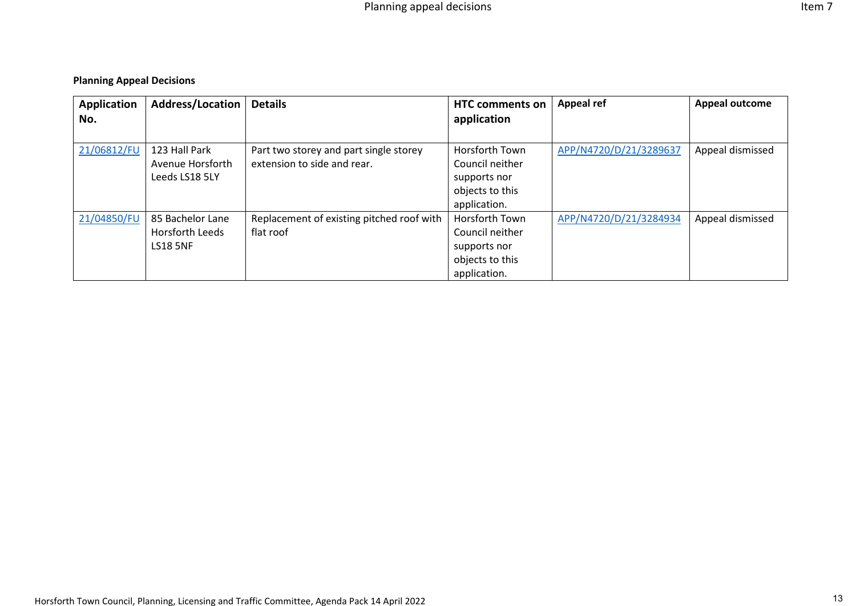## <span id="page-12-0"></span>**Planning Appeal Decisions**

| <b>Application</b><br>No. | <b>Address/Location</b> | <b>Details</b>                            | <b>HTC comments on</b><br>application | <b>Appeal ref</b>      | <b>Appeal outcome</b> |
|---------------------------|-------------------------|-------------------------------------------|---------------------------------------|------------------------|-----------------------|
|                           |                         |                                           |                                       |                        |                       |
| 21/06812/FU               | 123 Hall Park           | Part two storey and part single storey    | <b>Horsforth Town</b>                 | APP/N4720/D/21/3289637 | Appeal dismissed      |
|                           | Avenue Horsforth        | extension to side and rear.               | Council neither                       |                        |                       |
|                           | Leeds LS18 5LY          |                                           | supports nor                          |                        |                       |
|                           |                         |                                           | objects to this                       |                        |                       |
|                           |                         |                                           | application.                          |                        |                       |
| 21/04850/FU               | 85 Bachelor Lane        | Replacement of existing pitched roof with | <b>Horsforth Town</b>                 | APP/N4720/D/21/3284934 | Appeal dismissed      |
|                           | <b>Horsforth Leeds</b>  | flat roof                                 | Council neither                       |                        |                       |
|                           | <b>LS18 5NF</b>         |                                           | supports nor                          |                        |                       |
|                           |                         |                                           | objects to this                       |                        |                       |
|                           |                         |                                           | application.                          |                        |                       |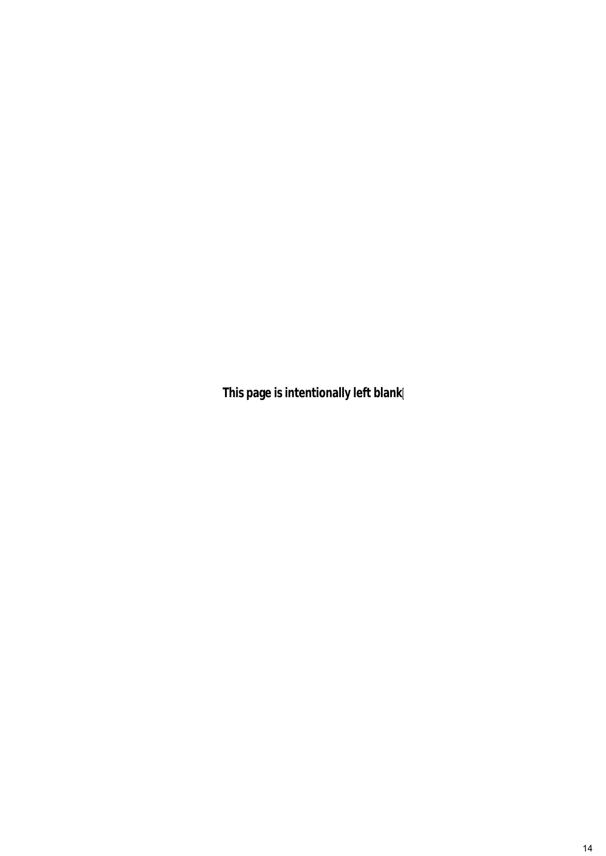**This page is intentionally left blank**